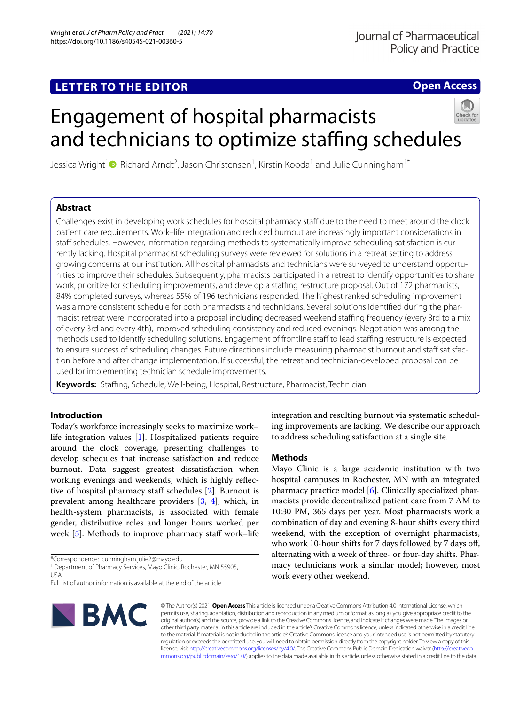# **LETTER TO THE EDITOR**

**Open Access**

# Engagement of hospital pharmacists and technicians to optimize staffing schedules



Jessica Wright<sup>1</sup> <sup>(D</sup>[,](http://orcid.org/0000-0001-9659-4875) Richard Arndt<sup>2</sup>, Jason Christensen<sup>1</sup>, Kirstin Kooda<sup>1</sup> and Julie Cunningham<sup>1\*</sup>

# **Abstract**

Challenges exist in developing work schedules for hospital pharmacy staf due to the need to meet around the clock patient care requirements. Work–life integration and reduced burnout are increasingly important considerations in staff schedules. However, information regarding methods to systematically improve scheduling satisfaction is currently lacking. Hospital pharmacist scheduling surveys were reviewed for solutions in a retreat setting to address growing concerns at our institution. All hospital pharmacists and technicians were surveyed to understand opportunities to improve their schedules. Subsequently, pharmacists participated in a retreat to identify opportunities to share work, prioritize for scheduling improvements, and develop a staffing restructure proposal. Out of 172 pharmacists, 84% completed surveys, whereas 55% of 196 technicians responded. The highest ranked scheduling improvement was a more consistent schedule for both pharmacists and technicians. Several solutions identifed during the pharmacist retreat were incorporated into a proposal including decreased weekend staffing frequency (every 3rd to a mix of every 3rd and every 4th), improved scheduling consistency and reduced evenings. Negotiation was among the methods used to identify scheduling solutions. Engagement of frontline staff to lead staffing restructure is expected to ensure success of scheduling changes. Future directions include measuring pharmacist burnout and staff satisfaction before and after change implementation. If successful, the retreat and technician-developed proposal can be used for implementing technician schedule improvements.

**Keywords:** Stafng, Schedule, Well-being, Hospital, Restructure, Pharmacist, Technician

# **Introduction**

Today's workforce increasingly seeks to maximize work– life integration values [[1](#page-2-0)]. Hospitalized patients require around the clock coverage, presenting challenges to develop schedules that increase satisfaction and reduce burnout. Data suggest greatest dissatisfaction when working evenings and weekends, which is highly refec-tive of hospital pharmacy staff schedules [[2\]](#page-2-1). Burnout is prevalent among healthcare providers [[3,](#page-2-2) [4](#page-2-3)], which, in health-system pharmacists, is associated with female gender, distributive roles and longer hours worked per week [\[5\]](#page-2-4). Methods to improve pharmacy staff work-life

\*Correspondence: cunningham.julie2@mayo.edu

Full list of author information is available at the end of the article



integration and resulting burnout via systematic scheduling improvements are lacking. We describe our approach to address scheduling satisfaction at a single site.

# **Methods**

Mayo Clinic is a large academic institution with two hospital campuses in Rochester, MN with an integrated pharmacy practice model [[6\]](#page-2-5). Clinically specialized pharmacists provide decentralized patient care from 7 AM to 10:30 PM, 365 days per year. Most pharmacists work a combination of day and evening 8-hour shifts every third weekend, with the exception of overnight pharmacists, who work 10-hour shifts for 7 days followed by 7 days off, alternating with a week of three- or four-day shifts. Pharmacy technicians work a similar model; however, most work every other weekend.

© The Author(s) 2021. **Open Access** This article is licensed under a Creative Commons Attribution 4.0 International License, which permits use, sharing, adaptation, distribution and reproduction in any medium or format, as long as you give appropriate credit to the original author(s) and the source, provide a link to the Creative Commons licence, and indicate if changes were made. The images or other third party material in this article are included in the article's Creative Commons licence, unless indicated otherwise in a credit line to the material. If material is not included in the article's Creative Commons licence and your intended use is not permitted by statutory regulation or exceeds the permitted use, you will need to obtain permission directly from the copyright holder. To view a copy of this licence, visit [http://creativecommons.org/licenses/by/4.0/.](http://creativecommons.org/licenses/by/4.0/) The Creative Commons Public Domain Dedication waiver ([http://creativeco](http://creativecommons.org/publicdomain/zero/1.0/) [mmons.org/publicdomain/zero/1.0/](http://creativecommons.org/publicdomain/zero/1.0/)) applies to the data made available in this article, unless otherwise stated in a credit line to the data.

<sup>&</sup>lt;sup>1</sup> Department of Pharmacy Services, Mayo Clinic, Rochester, MN 55905, USA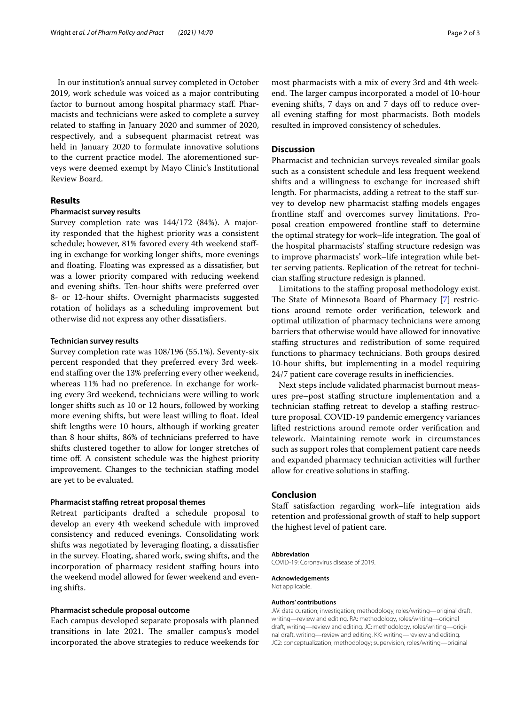In our institution's annual survey completed in October 2019, work schedule was voiced as a major contributing factor to burnout among hospital pharmacy staf. Pharmacists and technicians were asked to complete a survey related to staffing in January 2020 and summer of 2020, respectively, and a subsequent pharmacist retreat was held in January 2020 to formulate innovative solutions to the current practice model. The aforementioned surveys were deemed exempt by Mayo Clinic's Institutional Review Board.

# **Results**

#### **Pharmacist survey results**

Survey completion rate was 144/172 (84%). A majority responded that the highest priority was a consistent schedule; however, 81% favored every 4th weekend stafing in exchange for working longer shifts, more evenings and foating. Floating was expressed as a dissatisfer, but was a lower priority compared with reducing weekend and evening shifts. Ten-hour shifts were preferred over 8- or 12-hour shifts. Overnight pharmacists suggested rotation of holidays as a scheduling improvement but otherwise did not express any other dissatisfers.

#### **Technician survey results**

Survey completion rate was 108/196 (55.1%). Seventy-six percent responded that they preferred every 3rd weekend stafng over the 13% preferring every other weekend, whereas 11% had no preference. In exchange for working every 3rd weekend, technicians were willing to work longer shifts such as 10 or 12 hours, followed by working more evening shifts, but were least willing to float. Ideal shift lengths were 10 hours, although if working greater than 8 hour shifts, 86% of technicians preferred to have shifts clustered together to allow for longer stretches of time of. A consistent schedule was the highest priority improvement. Changes to the technician staffing model are yet to be evaluated.

#### **Pharmacist stafng retreat proposal themes**

Retreat participants drafted a schedule proposal to develop an every 4th weekend schedule with improved consistency and reduced evenings. Consolidating work shifts was negotiated by leveraging foating, a dissatisfer in the survey. Floating, shared work, swing shifts, and the incorporation of pharmacy resident staffing hours into the weekend model allowed for fewer weekend and evening shifts.

#### **Pharmacist schedule proposal outcome**

Each campus developed separate proposals with planned transitions in late 2021. The smaller campus's model incorporated the above strategies to reduce weekends for most pharmacists with a mix of every 3rd and 4th weekend. The larger campus incorporated a model of 10-hour evening shifts, 7 days on and 7 days off to reduce overall evening staffing for most pharmacists. Both models resulted in improved consistency of schedules.

#### **Discussion**

Pharmacist and technician surveys revealed similar goals such as a consistent schedule and less frequent weekend shifts and a willingness to exchange for increased shift length. For pharmacists, adding a retreat to the staff survey to develop new pharmacist staffing models engages frontline staff and overcomes survey limitations. Proposal creation empowered frontline staff to determine the optimal strategy for work–life integration. The goal of the hospital pharmacists' stafng structure redesign was to improve pharmacists' work–life integration while better serving patients. Replication of the retreat for technician stafng structure redesign is planned.

Limitations to the staffing proposal methodology exist. The State of Minnesota Board of Pharmacy [[7\]](#page-2-6) restrictions around remote order verifcation, telework and optimal utilization of pharmacy technicians were among barriers that otherwise would have allowed for innovative stafng structures and redistribution of some required functions to pharmacy technicians. Both groups desired 10-hour shifts, but implementing in a model requiring 24/7 patient care coverage results in inefficiencies.

Next steps include validated pharmacist burnout measures pre–post stafng structure implementation and a technician staffing retreat to develop a staffing restructure proposal. COVID-19 pandemic emergency variances lifted restrictions around remote order verifcation and telework. Maintaining remote work in circumstances such as support roles that complement patient care needs and expanded pharmacy technician activities will further allow for creative solutions in staffing.

#### **Conclusion**

Staff satisfaction regarding work–life integration aids retention and professional growth of staff to help support the highest level of patient care.

#### **Abbreviation**

COVID-19: Coronavirus disease of 2019.

**Acknowledgements** Not applicable.

#### **Authors' contributions**

JW: data curation; investigation; methodology, roles/writing—original draft, writing—review and editing. RA: methodology, roles/writing—original draft, writing—review and editing. JC: methodology, roles/writing—original draft, writing—review and editing. KK: writing—review and editing. JC2: conceptualization, methodology; supervision, roles/writing—original